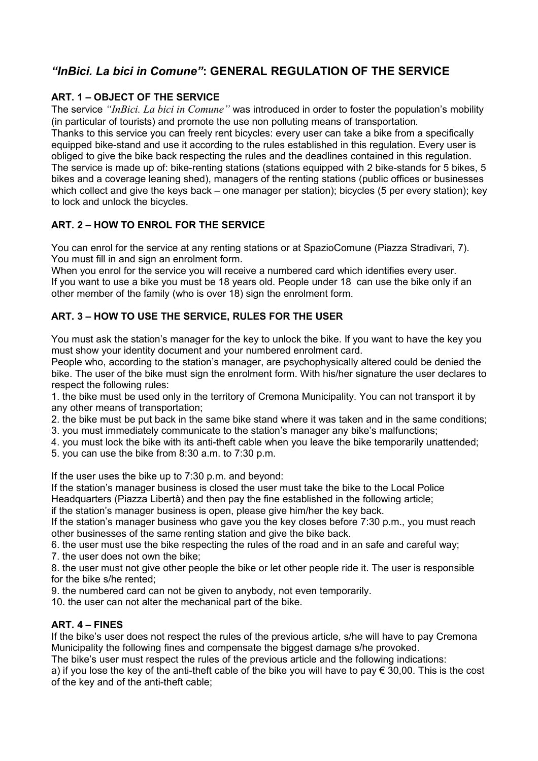# *"InBici. La bici in Comune"***: GENERAL REGULATION OF THE SERVICE**

## **ART. 1 – OBJECT OF THE SERVICE**

The service *"InBici. La bici in Comune"* was introduced in order to foster the population's mobility (in particular of tourists) and promote the use non polluting means of transportation*.*

Thanks to this service you can freely rent bicycles: every user can take a bike from a specifically equipped bike-stand and use it according to the rules established in this regulation. Every user is obliged to give the bike back respecting the rules and the deadlines contained in this regulation. The service is made up of: bike-renting stations (stations equipped with 2 bike-stands for 5 bikes, 5 bikes and a coverage leaning shed), managers of the renting stations (public offices or businesses which collect and give the keys back – one manager per station); bicycles (5 per every station); key to lock and unlock the bicycles.

## **ART. 2 – HOW TO ENROL FOR THE SERVICE**

You can enrol for the service at any renting stations or at SpazioComune (Piazza Stradivari, 7). You must fill in and sign an enrolment form.

When you enrol for the service you will receive a numbered card which identifies every user. If you want to use a bike you must be 18 years old. People under 18 can use the bike only if an other member of the family (who is over 18) sign the enrolment form.

## **ART. 3 – HOW TO USE THE SERVICE, RULES FOR THE USER**

You must ask the station's manager for the key to unlock the bike. If you want to have the key you must show your identity document and your numbered enrolment card.

People who, according to the station's manager, are psychophysically altered could be denied the bike. The user of the bike must sign the enrolment form. With his/her signature the user declares to respect the following rules:

1. the bike must be used only in the territory of Cremona Municipality. You can not transport it by any other means of transportation;

- 2. the bike must be put back in the same bike stand where it was taken and in the same conditions;
- 3. you must immediately communicate to the station's manager any bike's malfunctions;
- 4. you must lock the bike with its anti-theft cable when you leave the bike temporarily unattended;
- 5. you can use the bike from 8:30 a.m. to 7:30 p.m.

If the user uses the bike up to 7:30 p.m. and beyond:

If the station's manager business is closed the user must take the bike to the Local Police Headquarters (Piazza Libertà) and then pay the fine established in the following article;

if the station's manager business is open, please give him/her the key back.

If the station's manager business who gave you the key closes before 7:30 p.m., you must reach other businesses of the same renting station and give the bike back.

6. the user must use the bike respecting the rules of the road and in an safe and careful way; 7. the user does not own the bike;

8. the user must not give other people the bike or let other people ride it. The user is responsible for the bike s/he rented;

9. the numbered card can not be given to anybody, not even temporarily.

10. the user can not alter the mechanical part of the bike.

### **ART. 4 – FINES**

If the bike's user does not respect the rules of the previous article, s/he will have to pay Cremona Municipality the following fines and compensate the biggest damage s/he provoked.

The bike's user must respect the rules of the previous article and the following indications:

a) if you lose the key of the anti-theft cable of the bike you will have to pay  $\epsilon$  30,00. This is the cost of the key and of the anti-theft cable;